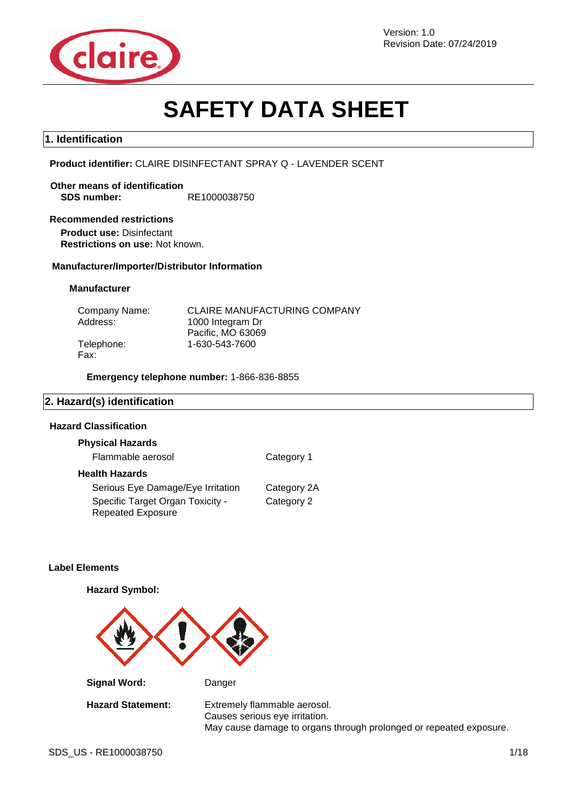

Version: 1.0 Revision Date: 07/24/2019

# **SAFETY DATA SHEET**

#### **1. Identification**

**Product identifier:** CLAIRE DISINFECTANT SPRAY Q - LAVENDER SCENT

**Other means of identification SDS number:** RE1000038750

#### **Recommended restrictions**

**Product use:** Disinfectant **Restrictions on use:** Not known.

#### **Manufacturer/Importer/Distributor Information**

#### **Manufacturer**

| Company Name: | <b>CLAIRE MANUFACTURING COMPANY</b> |
|---------------|-------------------------------------|
| Address:      | 1000 Integram Dr                    |
|               | Pacific, MO 63069                   |
| Telephone:    | 1-630-543-7600                      |
| Fax:          |                                     |

**Emergency telephone number:** 1-866-836-8855

#### **2. Hazard(s) identification**

#### **Hazard Classification**

| <b>Physical Hazards</b>                                      |             |
|--------------------------------------------------------------|-------------|
| Flammable aerosol                                            | Category 1  |
| <b>Health Hazards</b>                                        |             |
| Serious Eye Damage/Eye Irritation                            | Category 2A |
| Specific Target Organ Toxicity -<br><b>Repeated Exposure</b> | Category 2  |

#### **Label Elements**

**Hazard Symbol:**



**Signal Word:** Danger

**Hazard Statement:** Extremely flammable aerosol. Causes serious eye irritation. May cause damage to organs through prolonged or repeated exposure.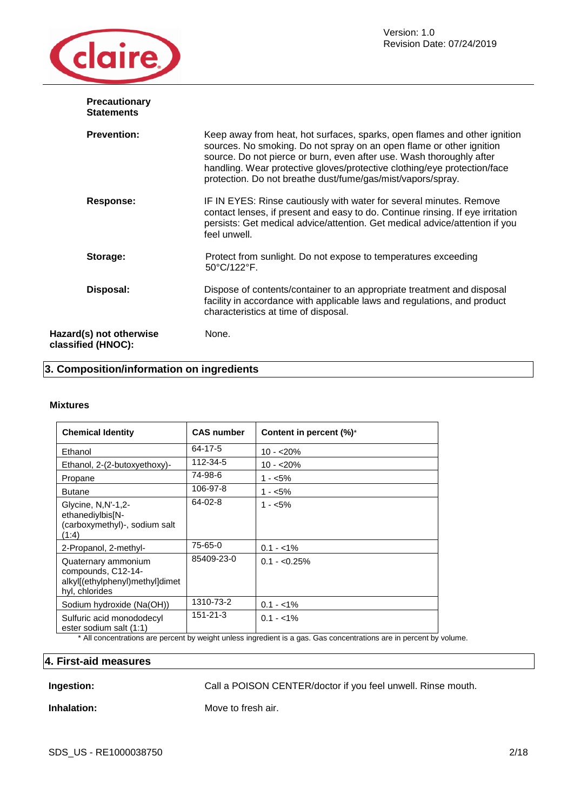

| <b>Precautionary</b><br><b>Statements</b>     |                                                                                                                                                                                                                                                                                                                                                                      |
|-----------------------------------------------|----------------------------------------------------------------------------------------------------------------------------------------------------------------------------------------------------------------------------------------------------------------------------------------------------------------------------------------------------------------------|
| <b>Prevention:</b>                            | Keep away from heat, hot surfaces, sparks, open flames and other ignition<br>sources. No smoking. Do not spray on an open flame or other ignition<br>source. Do not pierce or burn, even after use. Wash thoroughly after<br>handling. Wear protective gloves/protective clothing/eye protection/face<br>protection. Do not breathe dust/fume/gas/mist/vapors/spray. |
| Response:                                     | IF IN EYES: Rinse cautiously with water for several minutes. Remove<br>contact lenses, if present and easy to do. Continue rinsing. If eye irritation<br>persists: Get medical advice/attention. Get medical advice/attention if you<br>feel unwell.                                                                                                                 |
| Storage:                                      | Protect from sunlight. Do not expose to temperatures exceeding<br>50°C/122°F.                                                                                                                                                                                                                                                                                        |
| Disposal:                                     | Dispose of contents/container to an appropriate treatment and disposal<br>facility in accordance with applicable laws and regulations, and product<br>characteristics at time of disposal.                                                                                                                                                                           |
| Hazard(s) not otherwise<br>classified (HNOC): | None.                                                                                                                                                                                                                                                                                                                                                                |

### **3. Composition/information on ingredients**

#### **Mixtures**

| <b>Chemical Identity</b>                                                                       | <b>CAS number</b> | Content in percent (%)* |
|------------------------------------------------------------------------------------------------|-------------------|-------------------------|
| Ethanol                                                                                        | 64-17-5           | $10 - 20%$              |
| Ethanol, 2-(2-butoxyethoxy)-                                                                   | 112-34-5          | $10 - 20%$              |
| Propane                                                                                        | 74-98-6           | $1 - 5\%$               |
| <b>Butane</b>                                                                                  | 106-97-8          | $1 - 5\%$               |
| Glycine, N, N'-1, 2-<br>ethanediylbis[N-<br>(carboxymethyl)-, sodium salt<br>(1:4)             | 64-02-8           | $1 - 5\%$               |
| 2-Propanol, 2-methyl-                                                                          | 75-65-0           | $0.1 - 1\%$             |
| Quaternary ammonium<br>compounds, C12-14-<br>alkyl[(ethylphenyl)methyl]dimet<br>hyl, chlorides | 85409-23-0        | $0.1 - 0.25\%$          |
| Sodium hydroxide (Na(OH))                                                                      | 1310-73-2         | $0.1 - 1\%$             |
| Sulfuric acid monododecyl<br>ester sodium salt (1:1)                                           | $151 - 21 - 3$    | $0.1 - 1\%$             |

\* All concentrations are percent by weight unless ingredient is a gas. Gas concentrations are in percent by volume.

#### **4. First-aid measures**

**Ingestion:** Call a POISON CENTER/doctor if you feel unwell. Rinse mouth.

**Inhalation:** Move to fresh air.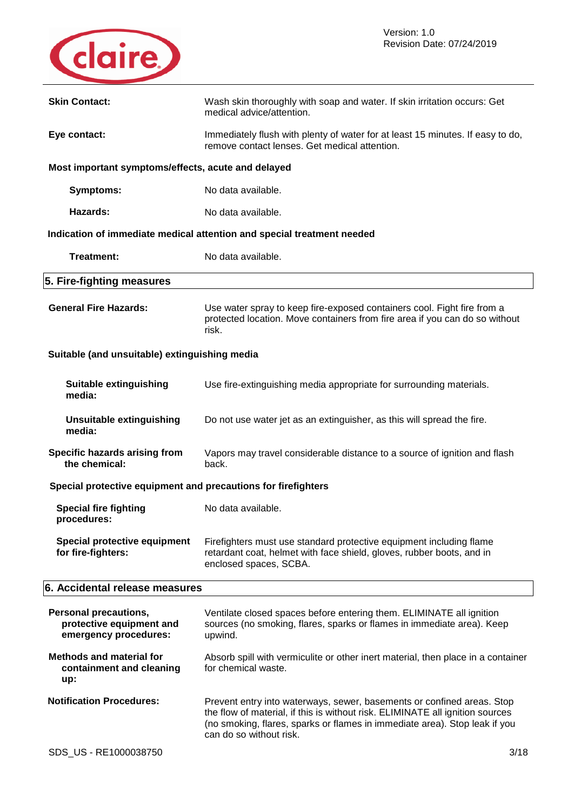

| <b>Skin Contact:</b>                                                              | Wash skin thoroughly with soap and water. If skin irritation occurs: Get<br>medical advice/attention.                                                                                                                                                            |
|-----------------------------------------------------------------------------------|------------------------------------------------------------------------------------------------------------------------------------------------------------------------------------------------------------------------------------------------------------------|
| Eye contact:                                                                      | Immediately flush with plenty of water for at least 15 minutes. If easy to do,<br>remove contact lenses. Get medical attention.                                                                                                                                  |
| Most important symptoms/effects, acute and delayed                                |                                                                                                                                                                                                                                                                  |
| Symptoms:                                                                         | No data available.                                                                                                                                                                                                                                               |
| Hazards:                                                                          | No data available.                                                                                                                                                                                                                                               |
|                                                                                   | Indication of immediate medical attention and special treatment needed                                                                                                                                                                                           |
| Treatment:                                                                        | No data available.                                                                                                                                                                                                                                               |
| 5. Fire-fighting measures                                                         |                                                                                                                                                                                                                                                                  |
| <b>General Fire Hazards:</b>                                                      | Use water spray to keep fire-exposed containers cool. Fight fire from a<br>protected location. Move containers from fire area if you can do so without<br>risk.                                                                                                  |
| Suitable (and unsuitable) extinguishing media                                     |                                                                                                                                                                                                                                                                  |
| <b>Suitable extinguishing</b><br>media:                                           | Use fire-extinguishing media appropriate for surrounding materials.                                                                                                                                                                                              |
| <b>Unsuitable extinguishing</b><br>media:                                         | Do not use water jet as an extinguisher, as this will spread the fire.                                                                                                                                                                                           |
| Specific hazards arising from<br>the chemical:                                    | Vapors may travel considerable distance to a source of ignition and flash<br>back.                                                                                                                                                                               |
| Special protective equipment and precautions for firefighters                     |                                                                                                                                                                                                                                                                  |
| <b>Special fire fighting</b><br>procedures:                                       | No data available.                                                                                                                                                                                                                                               |
| <b>Special protective equipment</b><br>for fire-fighters:                         | Firefighters must use standard protective equipment including flame<br>retardant coat, helmet with face shield, gloves, rubber boots, and in<br>enclosed spaces, SCBA.                                                                                           |
| 6. Accidental release measures                                                    |                                                                                                                                                                                                                                                                  |
| <b>Personal precautions,</b><br>protective equipment and<br>emergency procedures: | Ventilate closed spaces before entering them. ELIMINATE all ignition<br>sources (no smoking, flares, sparks or flames in immediate area). Keep<br>upwind.                                                                                                        |
| <b>Methods and material for</b><br>containment and cleaning<br>up:                | Absorb spill with vermiculite or other inert material, then place in a container<br>for chemical waste.                                                                                                                                                          |
| <b>Notification Procedures:</b>                                                   | Prevent entry into waterways, sewer, basements or confined areas. Stop<br>the flow of material, if this is without risk. ELIMINATE all ignition sources<br>(no smoking, flares, sparks or flames in immediate area). Stop leak if you<br>can do so without risk. |
| SDS_US - RE1000038750                                                             | 3/18                                                                                                                                                                                                                                                             |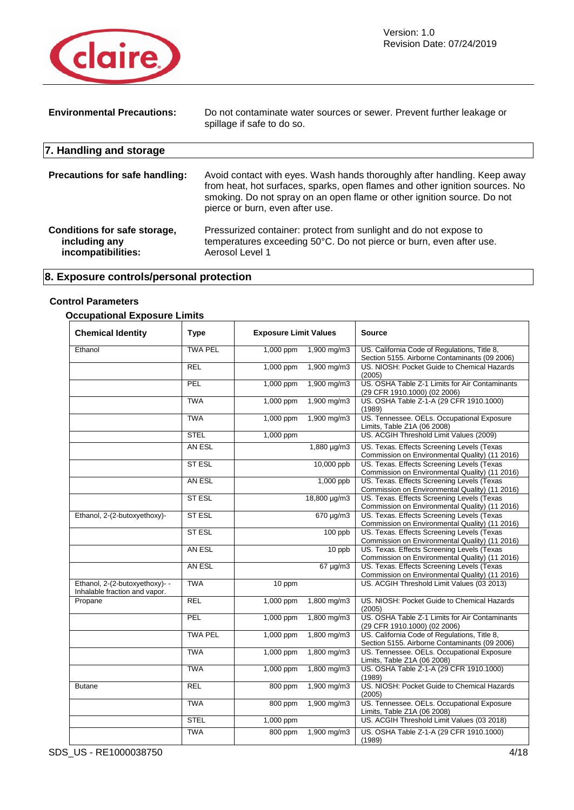

| <b>Environmental Precautions:</b>                                   | Do not contaminate water sources or sewer. Prevent further leakage or<br>spillage if safe to do so.                                                                                                                                                                   |
|---------------------------------------------------------------------|-----------------------------------------------------------------------------------------------------------------------------------------------------------------------------------------------------------------------------------------------------------------------|
| 7. Handling and storage                                             |                                                                                                                                                                                                                                                                       |
| <b>Precautions for safe handling:</b>                               | Avoid contact with eyes. Wash hands thoroughly after handling. Keep away<br>from heat, hot surfaces, sparks, open flames and other ignition sources. No<br>smoking. Do not spray on an open flame or other ignition source. Do not<br>pierce or burn, even after use. |
| Conditions for safe storage,<br>including any<br>incompatibilities: | Pressurized container: protect from sunlight and do not expose to<br>temperatures exceeding 50°C. Do not pierce or burn, even after use.<br>Aerosol Level 1                                                                                                           |

### **8. Exposure controls/personal protection**

### **Control Parameters**

### **Occupational Exposure Limits**

| <b>Chemical Identity</b>                                        | <b>Type</b>    | <b>Exposure Limit Values</b> |                  | <b>Source</b>                                                                                 |
|-----------------------------------------------------------------|----------------|------------------------------|------------------|-----------------------------------------------------------------------------------------------|
| Ethanol                                                         | <b>TWA PEL</b> | 1,000 ppm                    | 1,900 mg/m3      | US. California Code of Regulations, Title 8,<br>Section 5155. Airborne Contaminants (09 2006) |
|                                                                 | <b>REL</b>     | 1,000 ppm                    | 1,900 mg/m3      | US. NIOSH: Pocket Guide to Chemical Hazards<br>(2005)                                         |
|                                                                 | PEL            | 1,000 ppm                    | 1,900 mg/m3      | US. OSHA Table Z-1 Limits for Air Contaminants<br>(29 CFR 1910.1000) (02 2006)                |
|                                                                 | <b>TWA</b>     | 1,000 ppm                    | 1,900 mg/m3      | US. OSHA Table Z-1-A (29 CFR 1910.1000)<br>(1989)                                             |
|                                                                 | <b>TWA</b>     | 1,000 ppm                    | 1,900 mg/m3      | US. Tennessee. OELs. Occupational Exposure<br>Limits, Table Z1A (06 2008)                     |
|                                                                 | <b>STEL</b>    | 1,000 ppm                    |                  | US. ACGIH Threshold Limit Values (2009)                                                       |
|                                                                 | AN ESL         |                              | $1,880 \mu g/m3$ | US. Texas. Effects Screening Levels (Texas<br>Commission on Environmental Quality) (11 2016)  |
|                                                                 | <b>ST ESL</b>  |                              | 10,000 ppb       | US. Texas. Effects Screening Levels (Texas<br>Commission on Environmental Quality) (11 2016)  |
|                                                                 | AN ESL         |                              | 1,000 ppb        | US. Texas. Effects Screening Levels (Texas<br>Commission on Environmental Quality) (11 2016)  |
|                                                                 | <b>ST ESL</b>  |                              | 18,800 µg/m3     | US. Texas. Effects Screening Levels (Texas<br>Commission on Environmental Quality) (11 2016)  |
| Ethanol, 2-(2-butoxyethoxy)-                                    | <b>STESL</b>   |                              | 670 µg/m3        | US. Texas. Effects Screening Levels (Texas<br>Commission on Environmental Quality) (11 2016)  |
|                                                                 | <b>ST ESL</b>  |                              | $100$ ppb        | US. Texas. Effects Screening Levels (Texas<br>Commission on Environmental Quality) (11 2016)  |
|                                                                 | AN ESL         |                              | 10 ppb           | US. Texas. Effects Screening Levels (Texas<br>Commission on Environmental Quality) (11 2016)  |
|                                                                 | AN ESL         |                              | $67 \mu g/m3$    | US. Texas. Effects Screening Levels (Texas<br>Commission on Environmental Quality) (11 2016)  |
| Ethanol, 2-(2-butoxyethoxy)- -<br>Inhalable fraction and vapor. | <b>TWA</b>     | 10 ppm                       |                  | US. ACGIH Threshold Limit Values (03 2013)                                                    |
| Propane                                                         | REL            | 1,000 ppm                    | 1,800 mg/m3      | US. NIOSH: Pocket Guide to Chemical Hazards<br>(2005)                                         |
|                                                                 | PEL            | 1,000 ppm                    | 1,800 mg/m3      | US. OSHA Table Z-1 Limits for Air Contaminants<br>(29 CFR 1910.1000) (02 2006)                |
|                                                                 | <b>TWA PEL</b> | 1,000 ppm                    | 1,800 mg/m3      | US. California Code of Regulations, Title 8,<br>Section 5155. Airborne Contaminants (09 2006) |
|                                                                 | <b>TWA</b>     | 1,000 ppm                    | 1,800 mg/m3      | US. Tennessee. OELs. Occupational Exposure<br>Limits, Table Z1A (06 2008)                     |
|                                                                 | <b>TWA</b>     | 1,000 ppm                    | 1,800 mg/m3      | US. OSHA Table Z-1-A (29 CFR 1910.1000)<br>(1989)                                             |
| <b>Butane</b>                                                   | <b>REL</b>     | 800 ppm                      | 1,900 mg/m3      | US. NIOSH: Pocket Guide to Chemical Hazards<br>(2005)                                         |
|                                                                 | <b>TWA</b>     | 800 ppm                      | 1,900 mg/m3      | US. Tennessee. OELs. Occupational Exposure<br>Limits, Table Z1A (06 2008)                     |
|                                                                 | <b>STEL</b>    | 1,000 ppm                    |                  | US. ACGIH Threshold Limit Values (03 2018)                                                    |
|                                                                 | <b>TWA</b>     | 800 ppm                      | 1,900 mg/m3      | US. OSHA Table Z-1-A (29 CFR 1910.1000)<br>(1989)                                             |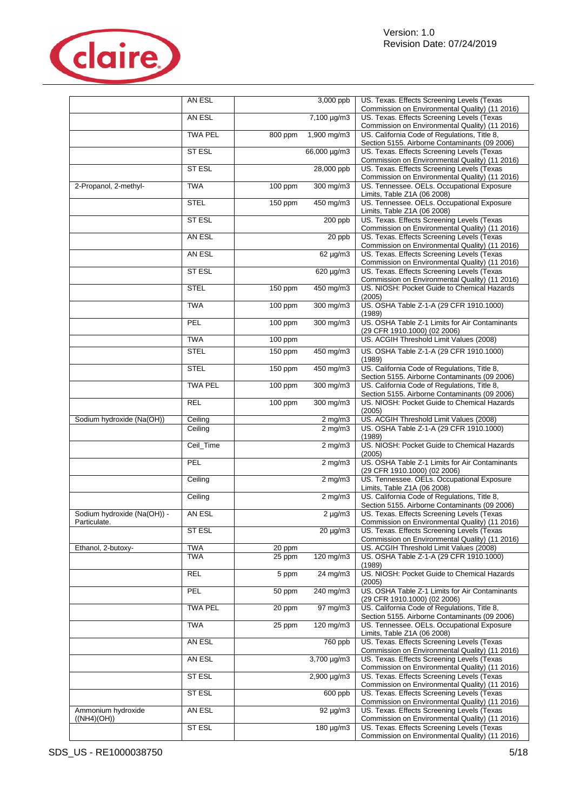

|                                             | AN ESL         |           | 3,000 ppb                      | US. Texas. Effects Screening Levels (Texas<br>Commission on Environmental Quality) (11 2016)  |
|---------------------------------------------|----------------|-----------|--------------------------------|-----------------------------------------------------------------------------------------------|
|                                             | AN ESL         |           | 7,100 µg/m3                    | US. Texas. Effects Screening Levels (Texas<br>Commission on Environmental Quality) (11 2016)  |
|                                             | <b>TWA PEL</b> | 800 ppm   | 1,900 mg/m3                    | US. California Code of Regulations, Title 8,<br>Section 5155. Airborne Contaminants (09 2006) |
|                                             | ST ESL         |           | 66,000 µg/m3                   | US. Texas. Effects Screening Levels (Texas<br>Commission on Environmental Quality) (11 2016)  |
|                                             | <b>ST ESL</b>  |           | 28,000 ppb                     | US. Texas. Effects Screening Levels (Texas<br>Commission on Environmental Quality) (11 2016)  |
| 2-Propanol, 2-methyl-                       | <b>TWA</b>     | 100 ppm   | 300 mg/m3                      | US. Tennessee. OELs. Occupational Exposure<br>Limits, Table Z1A (06 2008)                     |
|                                             | <b>STEL</b>    | 150 ppm   | 450 mg/m3                      | US. Tennessee. OELs. Occupational Exposure<br>Limits, Table Z1A (06 2008)                     |
|                                             | <b>ST ESL</b>  |           | 200 ppb                        | US. Texas. Effects Screening Levels (Texas<br>Commission on Environmental Quality) (11 2016)  |
|                                             | AN ESL         |           | 20 ppb                         | US. Texas. Effects Screening Levels (Texas<br>Commission on Environmental Quality) (11 2016)  |
|                                             | AN ESL         |           | $62 \mu g/m3$                  | US. Texas. Effects Screening Levels (Texas<br>Commission on Environmental Quality) (11 2016)  |
|                                             | <b>STESL</b>   |           | 620 µg/m3                      | US. Texas. Effects Screening Levels (Texas<br>Commission on Environmental Quality) (11 2016)  |
|                                             | <b>STEL</b>    | 150 ppm   | 450 mg/m3                      | US. NIOSH: Pocket Guide to Chemical Hazards<br>(2005)                                         |
|                                             | <b>TWA</b>     | 100 ppm   | 300 mg/m3                      | US. OSHA Table Z-1-A (29 CFR 1910.1000)<br>(1989)                                             |
|                                             | PEL            | 100 ppm   | 300 mg/m3                      | US. OSHA Table Z-1 Limits for Air Contaminants<br>(29 CFR 1910.1000) (02 2006)                |
|                                             | <b>TWA</b>     | 100 ppm   |                                | US. ACGIH Threshold Limit Values (2008)                                                       |
|                                             | <b>STEL</b>    | 150 ppm   | 450 mg/m3                      | US. OSHA Table Z-1-A (29 CFR 1910.1000)<br>(1989)                                             |
|                                             | <b>STEL</b>    | 150 ppm   | 450 mg/m3                      | US. California Code of Regulations, Title 8,<br>Section 5155. Airborne Contaminants (09 2006) |
|                                             | <b>TWA PEL</b> | $100$ ppm | 300 mg/m3                      | US. California Code of Regulations, Title 8,<br>Section 5155. Airborne Contaminants (09 2006) |
|                                             | <b>REL</b>     | 100 ppm   | 300 mg/m3                      | US. NIOSH: Pocket Guide to Chemical Hazards<br>(2005)                                         |
| Sodium hydroxide (Na(OH))                   | Ceiling        |           | $2 \overline{\text{mg}}$ m3    | US. ACGIH Threshold Limit Values (2008)                                                       |
|                                             | Ceiling        |           | $2$ mg/m $3$                   | US. OSHA Table Z-1-A (29 CFR 1910.1000)<br>(1989)                                             |
|                                             | Ceil_Time      |           | $2$ mg/m $3$                   | US. NIOSH: Pocket Guide to Chemical Hazards<br>(2005)                                         |
|                                             | PEL            |           | $2 \overline{\text{mg}}$ m $3$ | US. OSHA Table Z-1 Limits for Air Contaminants<br>(29 CFR 1910.1000) (02 2006)                |
|                                             | Ceiling        |           | $2 \overline{\text{mg}}$ m $3$ | US. Tennessee. OELs. Occupational Exposure<br>Limits, Table Z1A (06 2008)                     |
|                                             | Ceiling        |           | $2$ mg/m $3$                   | US. California Code of Regulations, Title 8,<br>Section 5155. Airborne Contaminants (09 2006) |
| Sodium hydroxide (Na(OH)) -<br>Particulate. | AN ESL         |           | $2 \mu g/m3$                   | US. Texas. Effects Screening Levels (Texas<br>Commission on Environmental Quality) (11 2016)  |
|                                             | ST ESL         |           | $20 \mu g/m3$                  | US. Texas. Effects Screening Levels (Texas<br>Commission on Environmental Quality) (11 2016)  |
| Ethanol, 2-butoxy-                          | <b>TWA</b>     | $20$ ppm  |                                | US. ACGIH Threshold Limit Values (2008)                                                       |
|                                             | <b>TWA</b>     | 25 ppm    | 120 mg/m3                      | US. OSHA Table Z-1-A (29 CFR 1910.1000)<br>(1989)                                             |
|                                             | <b>REL</b>     | 5 ppm     | 24 mg/m3                       | US. NIOSH: Pocket Guide to Chemical Hazards<br>(2005)                                         |
|                                             | PEL            | 50 ppm    | 240 mg/m3                      | US. OSHA Table Z-1 Limits for Air Contaminants<br>(29 CFR 1910.1000) (02 2006)                |
|                                             | <b>TWA PEL</b> | 20 ppm    | 97 mg/m3                       | US. California Code of Regulations, Title 8,<br>Section 5155. Airborne Contaminants (09 2006) |
|                                             | <b>TWA</b>     | 25 ppm    | 120 mg/m3                      | US. Tennessee. OELs. Occupational Exposure<br>Limits, Table Z1A (06 2008)                     |
|                                             | AN ESL         |           | 760 ppb                        | US. Texas. Effects Screening Levels (Texas<br>Commission on Environmental Quality) (11 2016)  |
|                                             | AN ESL         |           | 3,700 µg/m3                    | US. Texas. Effects Screening Levels (Texas<br>Commission on Environmental Quality) (11 2016)  |
|                                             | ST ESL         |           | 2,900 µg/m3                    | US. Texas. Effects Screening Levels (Texas<br>Commission on Environmental Quality) (11 2016)  |
|                                             | <b>ST ESL</b>  |           | 600 ppb                        | US. Texas. Effects Screening Levels (Texas<br>Commission on Environmental Quality) (11 2016)  |
| Ammonium hydroxide<br>((NH4)(OH))           | AN ESL         |           | $92 \mu g/m3$                  | US. Texas. Effects Screening Levels (Texas<br>Commission on Environmental Quality) (11 2016)  |
|                                             | ST ESL         |           | 180 µg/m3                      | US. Texas. Effects Screening Levels (Texas<br>Commission on Environmental Quality) (11 2016)  |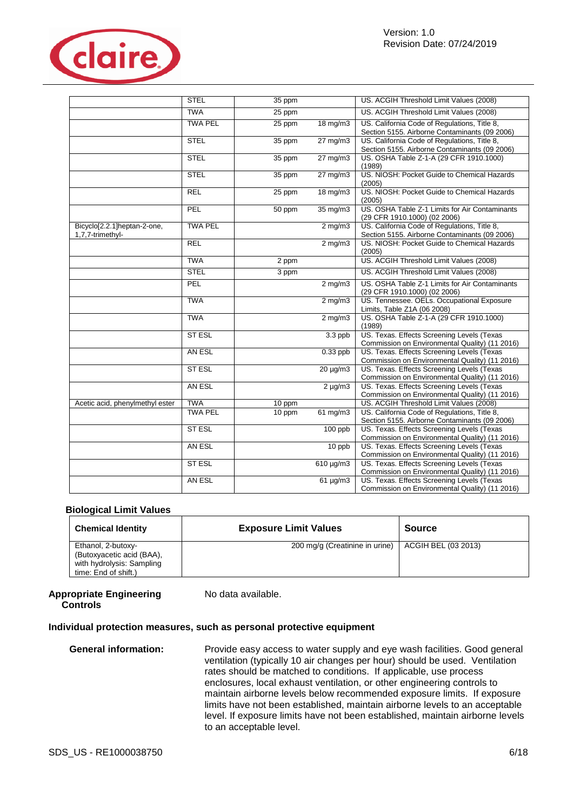

|                                                 | <b>STEL</b>    | 35 ppm             |                     | US. ACGIH Threshold Limit Values (2008)                                                       |
|-------------------------------------------------|----------------|--------------------|---------------------|-----------------------------------------------------------------------------------------------|
|                                                 | <b>TWA</b>     | 25 ppm             |                     | US. ACGIH Threshold Limit Values (2008)                                                       |
|                                                 | <b>TWA PEL</b> | 25 ppm             | 18 mg/m3            | US. California Code of Regulations, Title 8,<br>Section 5155. Airborne Contaminants (09 2006) |
|                                                 | <b>STEL</b>    | 35 ppm             | $27 \text{ mg/m}$ 3 | US. California Code of Regulations, Title 8,<br>Section 5155. Airborne Contaminants (09 2006) |
|                                                 | <b>STEL</b>    | 35 ppm             | $27 \text{ mg/m}$   | US. OSHA Table Z-1-A (29 CFR 1910.1000)<br>(1989)                                             |
|                                                 | <b>STEL</b>    | 35 ppm             | $27 \text{ mg/m}$   | US. NIOSH: Pocket Guide to Chemical Hazards<br>(2005)                                         |
|                                                 | <b>REL</b>     | 25 ppm             | 18 mg/m3            | US. NIOSH: Pocket Guide to Chemical Hazards<br>(2005)                                         |
|                                                 | PEL            | 50 ppm             | 35 mg/m3            | US. OSHA Table Z-1 Limits for Air Contaminants<br>(29 CFR 1910.1000) (02 2006)                |
| Bicyclo[2.2.1]heptan-2-one,<br>1.7.7-trimethyl- | <b>TWA PEL</b> |                    | $2$ mg/m $3$        | US. California Code of Regulations, Title 8,<br>Section 5155. Airborne Contaminants (09 2006) |
|                                                 | REL            |                    | $2$ mg/m $3$        | US. NIOSH: Pocket Guide to Chemical Hazards<br>(2005)                                         |
|                                                 | <b>TWA</b>     | $\overline{2}$ ppm |                     | US. ACGIH Threshold Limit Values (2008)                                                       |
|                                                 | <b>STEL</b>    | 3 ppm              |                     | US. ACGIH Threshold Limit Values (2008)                                                       |
|                                                 | PEL            |                    | $2$ mg/m $3$        | US. OSHA Table Z-1 Limits for Air Contaminants<br>(29 CFR 1910.1000) (02 2006)                |
|                                                 | <b>TWA</b>     |                    | $2$ mg/m $3$        | US. Tennessee. OELs. Occupational Exposure<br>Limits, Table Z1A (06 2008)                     |
|                                                 | <b>TWA</b>     |                    | $2$ mg/m $3$        | US. OSHA Table Z-1-A (29 CFR 1910.1000)<br>(1989)                                             |
|                                                 | <b>ST ESL</b>  |                    | $3.3$ ppb           | US. Texas. Effects Screening Levels (Texas<br>Commission on Environmental Quality) (11 2016)  |
|                                                 | AN ESL         |                    | $0.33$ ppb          | US. Texas. Effects Screening Levels (Texas<br>Commission on Environmental Quality) (11 2016)  |
|                                                 | <b>STESL</b>   |                    | $20 \mu g/m3$       | US. Texas. Effects Screening Levels (Texas<br>Commission on Environmental Quality) (11 2016)  |
|                                                 | AN ESL         |                    | $2 \mu g/m3$        | US. Texas. Effects Screening Levels (Texas<br>Commission on Environmental Quality) (11 2016)  |
| Acetic acid, phenylmethyl ester                 | <b>TWA</b>     | 10 ppm             |                     | US. ACGIH Threshold Limit Values (2008)                                                       |
|                                                 | <b>TWA PEL</b> | 10 ppm             | 61 mg/m3            | US. California Code of Regulations, Title 8,<br>Section 5155. Airborne Contaminants (09 2006) |
|                                                 | <b>STESL</b>   |                    | 100 ppb             | US. Texas. Effects Screening Levels (Texas<br>Commission on Environmental Quality) (11 2016)  |
|                                                 | AN ESL         |                    | 10 ppb              | US. Texas. Effects Screening Levels (Texas<br>Commission on Environmental Quality) (11 2016)  |
|                                                 | ST ESL         |                    | $610 \mu g/m3$      | US. Texas. Effects Screening Levels (Texas<br>Commission on Environmental Quality) (11 2016)  |
|                                                 | AN ESL         |                    | $61 \mu g/m3$       | US. Texas. Effects Screening Levels (Texas<br>Commission on Environmental Quality) (11 2016)  |

#### **Biological Limit Values**

| <b>Chemical Identity</b>                                                                             | <b>Exposure Limit Values</b>   | <b>Source</b>       |
|------------------------------------------------------------------------------------------------------|--------------------------------|---------------------|
| Ethanol, 2-butoxy-<br>(Butoxyacetic acid (BAA),<br>with hydrolysis: Sampling<br>time: End of shift.) | 200 mg/g (Creatinine in urine) | ACGIH BEL (03 2013) |

#### **Appropriate Engineering Controls**

No data available.

### **Individual protection measures, such as personal protective equipment**

General information: Provide easy access to water supply and eye wash facilities. Good general ventilation (typically 10 air changes per hour) should be used. Ventilation rates should be matched to conditions. If applicable, use process enclosures, local exhaust ventilation, or other engineering controls to maintain airborne levels below recommended exposure limits. If exposure limits have not been established, maintain airborne levels to an acceptable level. If exposure limits have not been established, maintain airborne levels to an acceptable level.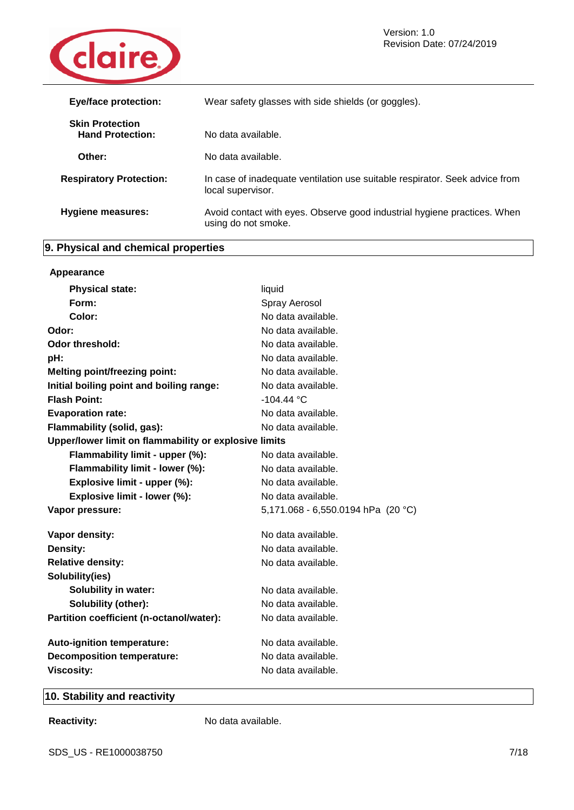

| <b>Eye/face protection:</b>                       | Wear safety glasses with side shields (or goggles).                                              |
|---------------------------------------------------|--------------------------------------------------------------------------------------------------|
| <b>Skin Protection</b><br><b>Hand Protection:</b> | No data available.                                                                               |
| Other:                                            | No data available.                                                                               |
| <b>Respiratory Protection:</b>                    | In case of inadequate ventilation use suitable respirator. Seek advice from<br>local supervisor. |
| <b>Hygiene measures:</b>                          | Avoid contact with eyes. Observe good industrial hygiene practices. When<br>using do not smoke.  |

### **9. Physical and chemical properties**

| Appearance                                            |                                      |
|-------------------------------------------------------|--------------------------------------|
| <b>Physical state:</b>                                | liquid                               |
| Form:                                                 | Spray Aerosol                        |
| Color:                                                | No data available.                   |
| Odor:                                                 | No data available.                   |
| Odor threshold:                                       | No data available.                   |
| pH:                                                   | No data available.                   |
| <b>Melting point/freezing point:</b>                  | No data available.                   |
| Initial boiling point and boiling range:              | No data available.                   |
| <b>Flash Point:</b>                                   | $-104.44 °C$                         |
| <b>Evaporation rate:</b>                              | No data available.                   |
| Flammability (solid, gas):                            | No data available.                   |
| Upper/lower limit on flammability or explosive limits |                                      |
| Flammability limit - upper (%):                       | No data available.                   |
| Flammability limit - lower (%):                       | No data available.                   |
| Explosive limit - upper (%):                          | No data available.                   |
| Explosive limit - lower (%):                          | No data available.                   |
| Vapor pressure:                                       | 5,171.068 - 6,550.0194 hPa $(20 °C)$ |
| Vapor density:                                        | No data available.                   |
| Density:                                              | No data available.                   |
| <b>Relative density:</b>                              | No data available.                   |
| Solubility(ies)                                       |                                      |
| <b>Solubility in water:</b>                           | No data available.                   |
| Solubility (other):                                   | No data available.                   |
| Partition coefficient (n-octanol/water):              | No data available.                   |
| Auto-ignition temperature:                            | No data available.                   |
| <b>Decomposition temperature:</b>                     | No data available.                   |
| <b>Viscosity:</b>                                     | No data available.                   |
|                                                       |                                      |

### **10. Stability and reactivity**

**Reactivity:** No data available.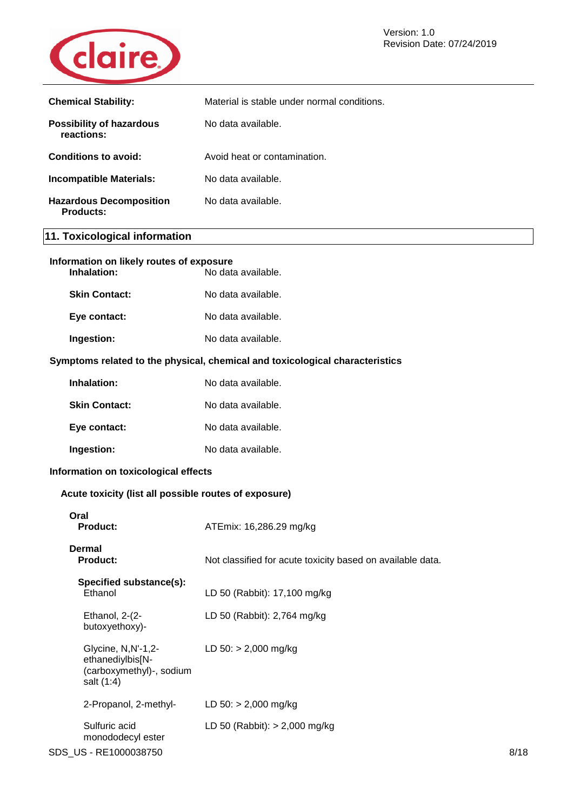

| <b>Chemical Stability:</b>                    | Material is stable under normal conditions. |
|-----------------------------------------------|---------------------------------------------|
| <b>Possibility of hazardous</b><br>reactions: | No data available.                          |
| Conditions to avoid:                          | Avoid heat or contamination.                |
| <b>Incompatible Materials:</b>                | No data available.                          |
| <b>Hazardous Decomposition</b><br>Products:   | No data available.                          |

### **11. Toxicological information**

| Information on likely routes of exposure<br>Inhalation:<br>No data available.    |                                                            |  |
|----------------------------------------------------------------------------------|------------------------------------------------------------|--|
| <b>Skin Contact:</b>                                                             | No data available.                                         |  |
| Eye contact:                                                                     | No data available.                                         |  |
| Ingestion:                                                                       | No data available.                                         |  |
| Symptoms related to the physical, chemical and toxicological characteristics     |                                                            |  |
| Inhalation:                                                                      | No data available.                                         |  |
| <b>Skin Contact:</b>                                                             | No data available.                                         |  |
| Eye contact:                                                                     | No data available.                                         |  |
| Ingestion:                                                                       | No data available.                                         |  |
| Information on toxicological effects                                             |                                                            |  |
| Acute toxicity (list all possible routes of exposure)                            |                                                            |  |
| Oral<br>Product:                                                                 | ATEmix: 16,286.29 mg/kg                                    |  |
| Dermal<br><b>Product:</b>                                                        | Not classified for acute toxicity based on available data. |  |
| Specified substance(s):<br>Ethanol                                               | LD 50 (Rabbit): 17,100 mg/kg                               |  |
| Ethanol, 2-(2-<br>butoxyethoxy)-                                                 | LD 50 (Rabbit): 2,764 mg/kg                                |  |
| Glycine, N,N'-1,2-<br>ethanediylbis[N-<br>(carboxymethyl)-, sodium<br>salt (1:4) | LD $50:$ > 2,000 mg/kg                                     |  |
| 2-Propanol, 2-methyl-                                                            | LD $50:$ > 2,000 mg/kg                                     |  |
| Sulfuric acid<br>monododecyl ester                                               | LD 50 (Rabbit): $> 2,000$ mg/kg                            |  |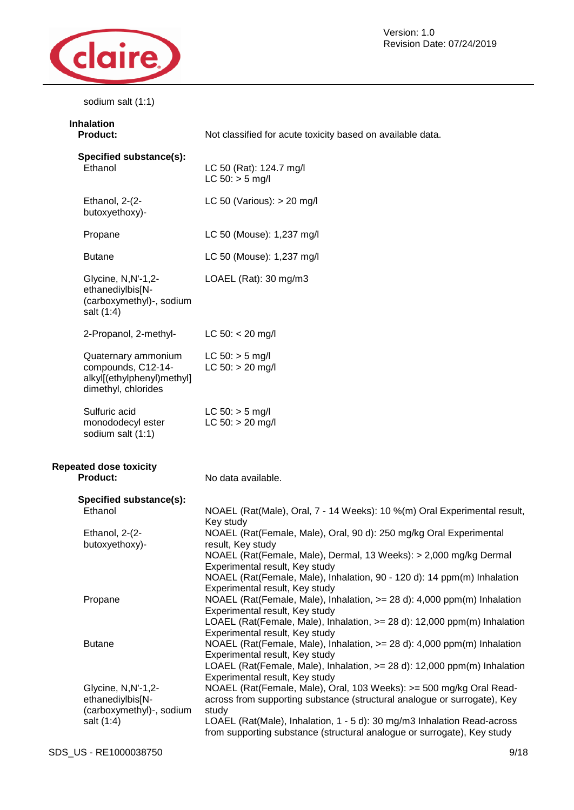

Version: 1.0 Revision Date: 07/24/2019

sodium salt (1:1)

| <b>Inhalation</b><br><b>Product:</b>                                                           | Not classified for acute toxicity based on available data.                                                                                                                                                                                                                                                                                                         |
|------------------------------------------------------------------------------------------------|--------------------------------------------------------------------------------------------------------------------------------------------------------------------------------------------------------------------------------------------------------------------------------------------------------------------------------------------------------------------|
| Specified substance(s):<br>Ethanol                                                             | LC 50 (Rat): 124.7 mg/l<br>$LC 50:$ > 5 mg/l                                                                                                                                                                                                                                                                                                                       |
| Ethanol, 2-(2-<br>butoxyethoxy)-                                                               | LC 50 (Various): $> 20$ mg/l                                                                                                                                                                                                                                                                                                                                       |
| Propane                                                                                        | LC 50 (Mouse): 1,237 mg/l                                                                                                                                                                                                                                                                                                                                          |
| <b>Butane</b>                                                                                  | LC 50 (Mouse): 1,237 mg/l                                                                                                                                                                                                                                                                                                                                          |
| Glycine, N,N'-1,2-<br>ethanediylbis[N-<br>(carboxymethyl)-, sodium<br>salt (1:4)               | LOAEL (Rat): 30 mg/m3                                                                                                                                                                                                                                                                                                                                              |
| 2-Propanol, 2-methyl-                                                                          | LC $50: < 20$ mg/l                                                                                                                                                                                                                                                                                                                                                 |
| Quaternary ammonium<br>compounds, C12-14-<br>alkyl[(ethylphenyl)methyl]<br>dimethyl, chlorides | $LC 50: > 5$ mg/l<br>$LC 50: > 20$ mg/l                                                                                                                                                                                                                                                                                                                            |
| Sulfuric acid<br>monododecyl ester<br>sodium salt (1:1)                                        | $LC 50:$ > 5 mg/l<br>$LC 50: > 20$ mg/l                                                                                                                                                                                                                                                                                                                            |
| <b>Repeated dose toxicity</b><br><b>Product:</b>                                               | No data available.                                                                                                                                                                                                                                                                                                                                                 |
| Specified substance(s):<br>Ethanol<br>Ethanol, 2-(2-<br>butoxyethoxy)-                         | NOAEL (Rat(Male), Oral, 7 - 14 Weeks): 10 %(m) Oral Experimental result,<br>Key study<br>NOAEL (Rat(Female, Male), Oral, 90 d): 250 mg/kg Oral Experimental<br>result, Key study<br>NOAEL (Rat(Female, Male), Dermal, 13 Weeks): > 2,000 mg/kg Dermal<br>Experimental result, Key study<br>NOAEL (Rat(Female, Male), Inhalation, 90 - 120 d): 14 ppm(m) Inhalation |
| Propane                                                                                        | Experimental result, Key study<br>NOAEL (Rat(Female, Male), Inhalation, >= 28 d): 4,000 ppm(m) Inhalation<br>Experimental result, Key study<br>LOAEL (Rat(Female, Male), Inhalation, >= 28 d): 12,000 ppm(m) Inhalation<br>Experimental result, Key study                                                                                                          |
| <b>Butane</b>                                                                                  | NOAEL (Rat(Female, Male), Inhalation, $>= 28$ d): 4,000 ppm(m) Inhalation<br>Experimental result, Key study<br>LOAEL (Rat(Female, Male), Inhalation, >= 28 d): 12,000 ppm(m) Inhalation                                                                                                                                                                            |
| Glycine, N, N'-1, 2-<br>ethanediylbis[N-<br>(carboxymethyl)-, sodium<br>salt (1:4)             | Experimental result, Key study<br>NOAEL (Rat(Female, Male), Oral, 103 Weeks): >= 500 mg/kg Oral Read-<br>across from supporting substance (structural analogue or surrogate), Key<br>study<br>LOAEL (Rat(Male), Inhalation, 1 - 5 d): 30 mg/m3 Inhalation Read-across<br>from supporting substance (structural analogue or surrogate), Key study                   |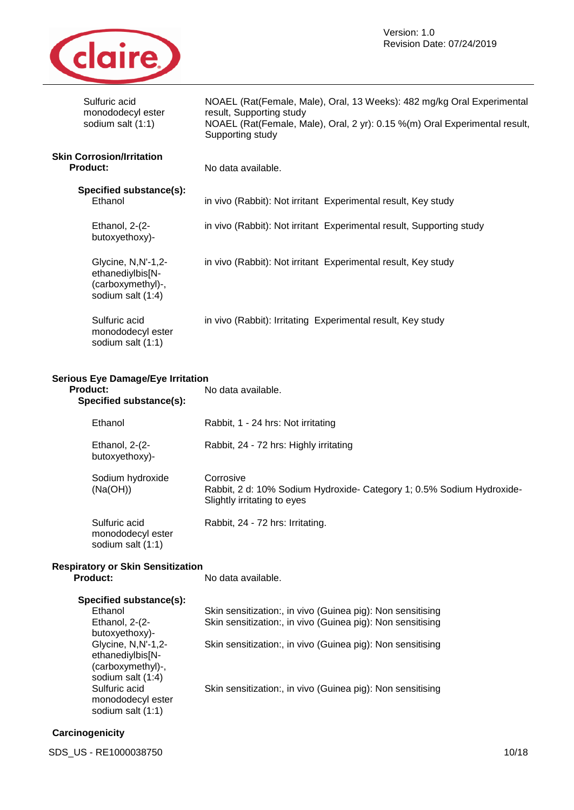

| Sulfuric acid<br>monododecyl ester<br>sodium salt (1:1)                                                                                                                                                                 | NOAEL (Rat(Female, Male), Oral, 13 Weeks): 482 mg/kg Oral Experimental<br>result, Supporting study<br>NOAEL (Rat(Female, Male), Oral, 2 yr): 0.15 %(m) Oral Experimental result,<br>Supporting study                                                 |
|-------------------------------------------------------------------------------------------------------------------------------------------------------------------------------------------------------------------------|------------------------------------------------------------------------------------------------------------------------------------------------------------------------------------------------------------------------------------------------------|
| <b>Skin Corrosion/Irritation</b><br><b>Product:</b>                                                                                                                                                                     | No data available.                                                                                                                                                                                                                                   |
| Specified substance(s):<br>Ethanol                                                                                                                                                                                      | in vivo (Rabbit): Not irritant Experimental result, Key study                                                                                                                                                                                        |
| Ethanol, 2-(2-<br>butoxyethoxy)-                                                                                                                                                                                        | in vivo (Rabbit): Not irritant Experimental result, Supporting study                                                                                                                                                                                 |
| Glycine, N,N'-1,2-<br>ethanediylbis[N-<br>(carboxymethyl)-,<br>sodium salt (1:4)                                                                                                                                        | in vivo (Rabbit): Not irritant Experimental result, Key study                                                                                                                                                                                        |
| Sulfuric acid<br>monododecyl ester<br>sodium salt (1:1)                                                                                                                                                                 | in vivo (Rabbit): Irritating Experimental result, Key study                                                                                                                                                                                          |
| <b>Serious Eye Damage/Eye Irritation</b><br><b>Product:</b><br>Specified substance(s):                                                                                                                                  | No data available.                                                                                                                                                                                                                                   |
| Ethanol                                                                                                                                                                                                                 | Rabbit, 1 - 24 hrs: Not irritating                                                                                                                                                                                                                   |
| Ethanol, 2-(2-<br>butoxyethoxy)-                                                                                                                                                                                        | Rabbit, 24 - 72 hrs: Highly irritating                                                                                                                                                                                                               |
| Sodium hydroxide<br>(Na(OH))                                                                                                                                                                                            | Corrosive<br>Rabbit, 2 d: 10% Sodium Hydroxide- Category 1; 0.5% Sodium Hydroxide-<br>Slightly irritating to eyes                                                                                                                                    |
| Sulfuric acid<br>monododecyl ester<br>sodium salt (1:1)                                                                                                                                                                 | Rabbit, 24 - 72 hrs: Irritating.                                                                                                                                                                                                                     |
| <b>Respiratory or Skin Sensitization</b><br><b>Product:</b>                                                                                                                                                             | No data available.                                                                                                                                                                                                                                   |
| Specified substance(s):<br>Ethanol<br>Ethanol, 2-(2-<br>butoxyethoxy)-<br>Glycine, N, N'-1, 2-<br>ethanediylbis[N-<br>(carboxymethyl)-,<br>sodium salt (1:4)<br>Sulfuric acid<br>monododecyl ester<br>sodium salt (1:1) | Skin sensitization:, in vivo (Guinea pig): Non sensitising<br>Skin sensitization:, in vivo (Guinea pig): Non sensitising<br>Skin sensitization:, in vivo (Guinea pig): Non sensitising<br>Skin sensitization:, in vivo (Guinea pig): Non sensitising |
|                                                                                                                                                                                                                         |                                                                                                                                                                                                                                                      |

### **Carcinogenicity**

SDS\_US - RE1000038750 10/18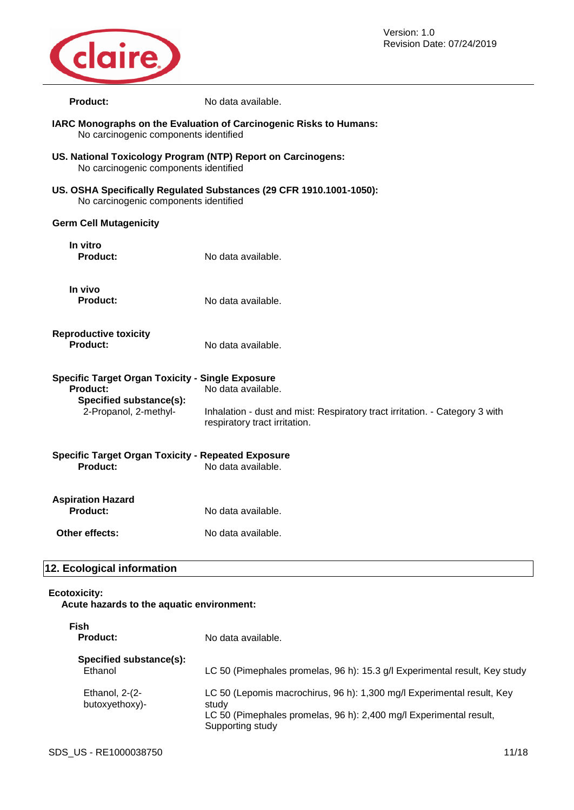

Version: 1.0 Revision Date: 07/24/2019

| <b>Product:</b>                                                                                                         | No data available.                                                                                                                 |  |
|-------------------------------------------------------------------------------------------------------------------------|------------------------------------------------------------------------------------------------------------------------------------|--|
| IARC Monographs on the Evaluation of Carcinogenic Risks to Humans:<br>No carcinogenic components identified             |                                                                                                                                    |  |
| US. National Toxicology Program (NTP) Report on Carcinogens:<br>No carcinogenic components identified                   |                                                                                                                                    |  |
| US. OSHA Specifically Regulated Substances (29 CFR 1910.1001-1050):<br>No carcinogenic components identified            |                                                                                                                                    |  |
| <b>Germ Cell Mutagenicity</b>                                                                                           |                                                                                                                                    |  |
| In vitro<br><b>Product:</b>                                                                                             | No data available.                                                                                                                 |  |
| In vivo<br><b>Product:</b>                                                                                              | No data available.                                                                                                                 |  |
| <b>Reproductive toxicity</b><br><b>Product:</b>                                                                         | No data available.                                                                                                                 |  |
| <b>Specific Target Organ Toxicity - Single Exposure</b><br>Product:<br>Specified substance(s):<br>2-Propanol, 2-methyl- | No data available.<br>Inhalation - dust and mist: Respiratory tract irritation. - Category 3 with<br>respiratory tract irritation. |  |
| <b>Specific Target Organ Toxicity - Repeated Exposure</b><br>Product:                                                   | No data available.                                                                                                                 |  |
| <b>Aspiration Hazard</b><br>Product:                                                                                    | No data available.                                                                                                                 |  |
| Other effects:                                                                                                          | No data available.                                                                                                                 |  |
| 12. Ecological information                                                                                              |                                                                                                                                    |  |

#### **Ecotoxicity:**

**Acute hazards to the aquatic environment:**

| Fish<br><b>Product:</b>            | No data available.                                                                                                                                                        |
|------------------------------------|---------------------------------------------------------------------------------------------------------------------------------------------------------------------------|
| Specified substance(s):<br>Ethanol | LC 50 (Pimephales promelas, 96 h): 15.3 g/l Experimental result, Key study                                                                                                |
| Ethanol, $2-(2-$<br>butoxyethoxy)- | LC 50 (Lepomis macrochirus, 96 h): 1,300 mg/l Experimental result, Key<br>study<br>LC 50 (Pimephales promelas, 96 h): 2,400 mg/l Experimental result,<br>Supporting study |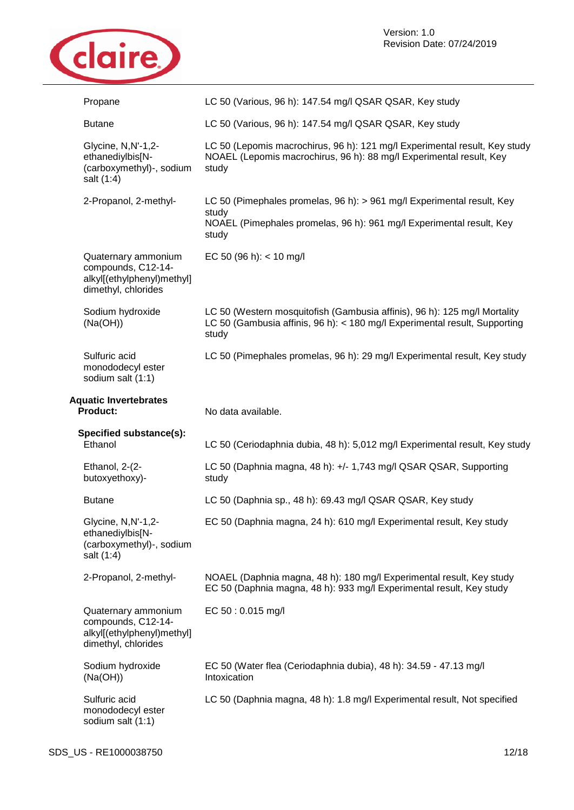

| Propane                                                                                        | LC 50 (Various, 96 h): 147.54 mg/l QSAR QSAR, Key study                                                                                                          |
|------------------------------------------------------------------------------------------------|------------------------------------------------------------------------------------------------------------------------------------------------------------------|
| <b>Butane</b>                                                                                  | LC 50 (Various, 96 h): 147.54 mg/l QSAR QSAR, Key study                                                                                                          |
| Glycine, N, N'-1, 2-<br>ethanediylbis[N-<br>(carboxymethyl)-, sodium<br>salt (1:4)             | LC 50 (Lepomis macrochirus, 96 h): 121 mg/l Experimental result, Key study<br>NOAEL (Lepomis macrochirus, 96 h): 88 mg/l Experimental result, Key<br>study       |
| 2-Propanol, 2-methyl-                                                                          | LC 50 (Pimephales promelas, 96 h): > 961 mg/l Experimental result, Key<br>study<br>NOAEL (Pimephales promelas, 96 h): 961 mg/l Experimental result, Key<br>study |
| Quaternary ammonium<br>compounds, C12-14-<br>alkyl[(ethylphenyl)methyl]<br>dimethyl, chlorides | EC 50 (96 h): $<$ 10 mg/l                                                                                                                                        |
| Sodium hydroxide<br>(Na(OH))                                                                   | LC 50 (Western mosquitofish (Gambusia affinis), 96 h): 125 mg/l Mortality<br>LC 50 (Gambusia affinis, 96 h): < 180 mg/l Experimental result, Supporting<br>study |
| Sulfuric acid<br>monododecyl ester<br>sodium salt (1:1)                                        | LC 50 (Pimephales promelas, 96 h): 29 mg/l Experimental result, Key study                                                                                        |
| <b>Aquatic Invertebrates</b><br><b>Product:</b>                                                | No data available.                                                                                                                                               |
|                                                                                                |                                                                                                                                                                  |
| Specified substance(s):<br>Ethanol                                                             | LC 50 (Ceriodaphnia dubia, 48 h): 5,012 mg/l Experimental result, Key study                                                                                      |
| Ethanol, 2-(2-<br>butoxyethoxy)-                                                               | LC 50 (Daphnia magna, 48 h): +/- 1,743 mg/l QSAR QSAR, Supporting<br>study                                                                                       |
| <b>Butane</b>                                                                                  | LC 50 (Daphnia sp., 48 h): 69.43 mg/l QSAR QSAR, Key study                                                                                                       |
| Glycine, N,N'-1,2-<br>ethanediylbis[N-<br>(carboxymethyl)-, sodium<br>salt (1:4)               | EC 50 (Daphnia magna, 24 h): 610 mg/l Experimental result, Key study                                                                                             |
| 2-Propanol, 2-methyl-                                                                          | NOAEL (Daphnia magna, 48 h): 180 mg/l Experimental result, Key study<br>EC 50 (Daphnia magna, 48 h): 933 mg/l Experimental result, Key study                     |
| Quaternary ammonium<br>compounds, C12-14-<br>alkyl[(ethylphenyl)methyl]<br>dimethyl, chlorides | EC 50:0.015 mg/l                                                                                                                                                 |
| Sodium hydroxide<br>(Na(OH))                                                                   | EC 50 (Water flea (Ceriodaphnia dubia), 48 h): 34.59 - 47.13 mg/l<br>Intoxication                                                                                |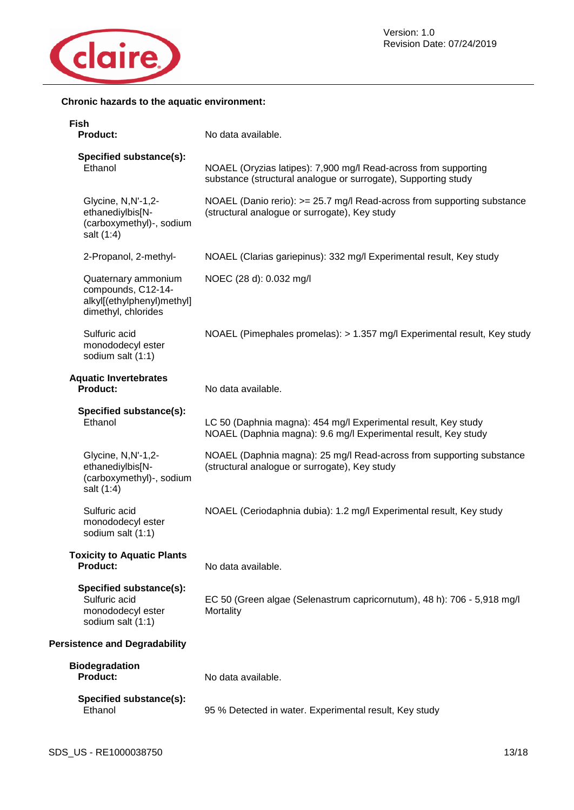

#### **Chronic hazards to the aquatic environment:**

| <b>Fish</b><br>Product:                                                                        | No data available.                                                                                                                |
|------------------------------------------------------------------------------------------------|-----------------------------------------------------------------------------------------------------------------------------------|
| Specified substance(s):<br>Ethanol                                                             | NOAEL (Oryzias latipes): 7,900 mg/l Read-across from supporting<br>substance (structural analogue or surrogate), Supporting study |
| Glycine, N,N'-1,2-<br>ethanediylbis[N-<br>(carboxymethyl)-, sodium<br>salt (1:4)               | NOAEL (Danio rerio): >= 25.7 mg/l Read-across from supporting substance<br>(structural analogue or surrogate), Key study          |
| 2-Propanol, 2-methyl-                                                                          | NOAEL (Clarias gariepinus): 332 mg/l Experimental result, Key study                                                               |
| Quaternary ammonium<br>compounds, C12-14-<br>alkyl[(ethylphenyl)methyl]<br>dimethyl, chlorides | NOEC (28 d): 0.032 mg/l                                                                                                           |
| Sulfuric acid<br>monododecyl ester<br>sodium salt (1:1)                                        | NOAEL (Pimephales promelas): > 1.357 mg/l Experimental result, Key study                                                          |
| <b>Aquatic Invertebrates</b><br>Product:                                                       | No data available.                                                                                                                |
| Specified substance(s):<br>Ethanol                                                             | LC 50 (Daphnia magna): 454 mg/l Experimental result, Key study<br>NOAEL (Daphnia magna): 9.6 mg/l Experimental result, Key study  |
| Glycine, N,N'-1,2-<br>ethanediylbis[N-<br>(carboxymethyl)-, sodium<br>salt (1:4)               | NOAEL (Daphnia magna): 25 mg/l Read-across from supporting substance<br>(structural analogue or surrogate), Key study             |
| Sulfuric acid<br>monododecyl ester<br>sodium salt (1:1)                                        | NOAEL (Ceriodaphnia dubia): 1.2 mg/l Experimental result, Key study                                                               |
| <b>Toxicity to Aquatic Plants</b><br>Product:                                                  | No data available.                                                                                                                |
| Specified substance(s):<br>Sulfuric acid<br>monododecyl ester<br>sodium salt (1:1)             | EC 50 (Green algae (Selenastrum capricornutum), 48 h): 706 - 5,918 mg/l<br>Mortality                                              |
| <b>Persistence and Degradability</b>                                                           |                                                                                                                                   |
| <b>Biodegradation</b><br><b>Product:</b>                                                       | No data available.                                                                                                                |
| Specified substance(s):<br>Ethanol                                                             | 95 % Detected in water. Experimental result, Key study                                                                            |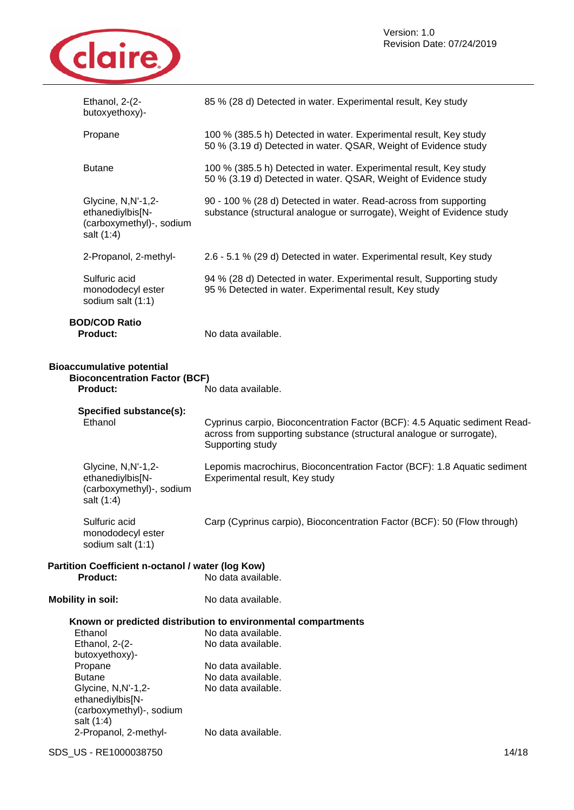

| Ethanol, 2-(2-<br>butoxyethoxy)-                                                            | 85 % (28 d) Detected in water. Experimental result, Key study                                                                                                          |
|---------------------------------------------------------------------------------------------|------------------------------------------------------------------------------------------------------------------------------------------------------------------------|
| Propane                                                                                     | 100 % (385.5 h) Detected in water. Experimental result, Key study<br>50 % (3.19 d) Detected in water. QSAR, Weight of Evidence study                                   |
| <b>Butane</b>                                                                               | 100 % (385.5 h) Detected in water. Experimental result, Key study<br>50 % (3.19 d) Detected in water. QSAR, Weight of Evidence study                                   |
| Glycine, N, N'-1, 2-<br>ethanediylbis[N-<br>(carboxymethyl)-, sodium<br>salt (1:4)          | 90 - 100 % (28 d) Detected in water. Read-across from supporting<br>substance (structural analogue or surrogate), Weight of Evidence study                             |
| 2-Propanol, 2-methyl-                                                                       | 2.6 - 5.1 % (29 d) Detected in water. Experimental result, Key study                                                                                                   |
| Sulfuric acid<br>monododecyl ester<br>sodium salt (1:1)                                     | 94 % (28 d) Detected in water. Experimental result, Supporting study<br>95 % Detected in water. Experimental result, Key study                                         |
| <b>BOD/COD Ratio</b><br><b>Product:</b>                                                     | No data available.                                                                                                                                                     |
| <b>Bioaccumulative potential</b><br><b>Bioconcentration Factor (BCF)</b><br><b>Product:</b> | No data available.                                                                                                                                                     |
| Specified substance(s):<br>Ethanol                                                          | Cyprinus carpio, Bioconcentration Factor (BCF): 4.5 Aquatic sediment Read-<br>across from supporting substance (structural analogue or surrogate),<br>Supporting study |
| Glycine, N,N'-1,2-<br>ethanediylbis[N-<br>(carboxymethyl)-, sodium<br>salt (1:4)            | Lepomis macrochirus, Bioconcentration Factor (BCF): 1.8 Aquatic sediment<br>Experimental result, Key study                                                             |
| Sulfuric acid<br>monododecyl ester<br>sodium salt (1:1)                                     | Carp (Cyprinus carpio), Bioconcentration Factor (BCF): 50 (Flow through)                                                                                               |
| Partition Coefficient n-octanol / water (log Kow)<br><b>Product:</b>                        | No data available.                                                                                                                                                     |
| <b>Mobility in soil:</b>                                                                    | No data available.                                                                                                                                                     |
|                                                                                             | Known or predicted distribution to environmental compartments                                                                                                          |
| Ethanol                                                                                     | No data available.                                                                                                                                                     |
| Ethanol, 2-(2-                                                                              | No data available.                                                                                                                                                     |
| butoxyethoxy)-<br>Propane                                                                   | No data available.                                                                                                                                                     |
| <b>Butane</b>                                                                               | No data available.                                                                                                                                                     |
| Glycine, N, N'-1, 2-<br>ethanediylbis[N-<br>(carboxymethyl)-, sodium<br>salt (1:4)          | No data available.                                                                                                                                                     |
| 2-Propanol, 2-methyl-                                                                       | No data available.                                                                                                                                                     |

SDS\_US - RE1000038750 14/18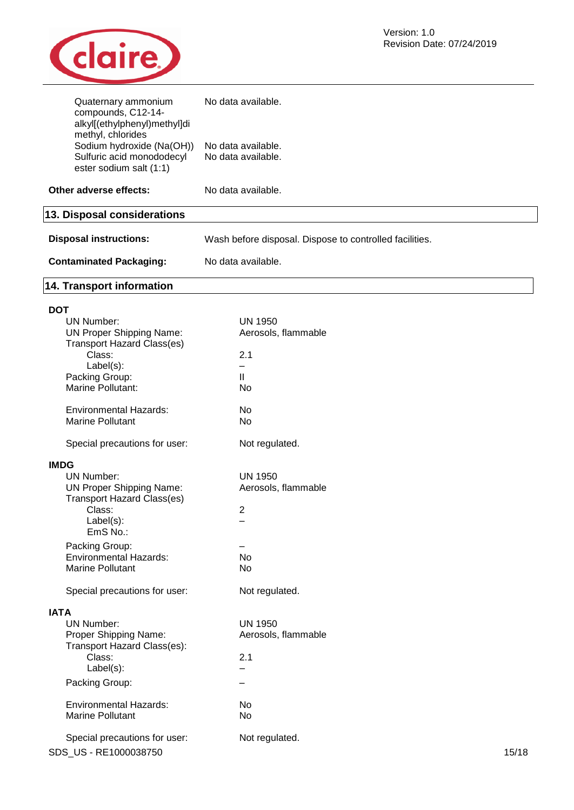

| Quaternary ammonium<br>compounds, C12-14-<br>alkyl[(ethylphenyl)methyl]di<br>methyl, chlorides | No data available.                                      |
|------------------------------------------------------------------------------------------------|---------------------------------------------------------|
| Sodium hydroxide (Na(OH))<br>Sulfuric acid monododecyl<br>ester sodium salt (1:1)              | No data available.<br>No data available.                |
| Other adverse effects:                                                                         | No data available.                                      |
| 13. Disposal considerations                                                                    |                                                         |
| <b>Disposal instructions:</b>                                                                  | Wash before disposal. Dispose to controlled facilities. |
| <b>Contaminated Packaging:</b>                                                                 | No data available.                                      |
| 14. Transport information                                                                      |                                                         |
| DOT                                                                                            |                                                         |

| ו טע                                        |                          |       |
|---------------------------------------------|--------------------------|-------|
| <b>UN Number:</b>                           | <b>UN 1950</b>           |       |
| <b>UN Proper Shipping Name:</b>             | Aerosols, flammable      |       |
| <b>Transport Hazard Class(es)</b>           |                          |       |
| Class:                                      | 2.1                      |       |
| Label(s):                                   | -                        |       |
| Packing Group:<br>Marine Pollutant:         | $\mathbf{I}$             |       |
|                                             | No                       |       |
| <b>Environmental Hazards:</b>               | <b>No</b>                |       |
| <b>Marine Pollutant</b>                     | <b>No</b>                |       |
|                                             |                          |       |
| Special precautions for user:               | Not regulated.           |       |
|                                             |                          |       |
| <b>IMDG</b>                                 |                          |       |
| <b>UN Number:</b>                           | <b>UN 1950</b>           |       |
| <b>UN Proper Shipping Name:</b>             | Aerosols, flammable      |       |
| <b>Transport Hazard Class(es)</b><br>Class: |                          |       |
|                                             | $\overline{2}$           |       |
| Label(s):<br>EmS No.:                       | $\overline{\phantom{0}}$ |       |
|                                             |                          |       |
| Packing Group:                              |                          |       |
| <b>Environmental Hazards:</b>               | <b>No</b>                |       |
| <b>Marine Pollutant</b>                     | <b>No</b>                |       |
| Special precautions for user:               | Not regulated.           |       |
| <b>IATA</b>                                 |                          |       |
| <b>UN Number:</b>                           | <b>UN 1950</b>           |       |
| Proper Shipping Name:                       | Aerosols, flammable      |       |
| Transport Hazard Class(es):                 |                          |       |
| Class:                                      | 2.1                      |       |
| Label(s):                                   |                          |       |
| Packing Group:                              | -                        |       |
| <b>Environmental Hazards:</b>               | No                       |       |
| <b>Marine Pollutant</b>                     | No                       |       |
|                                             |                          |       |
| Special precautions for user:               | Not regulated.           |       |
| SDS US - RE1000038750                       |                          | 15/18 |
|                                             |                          |       |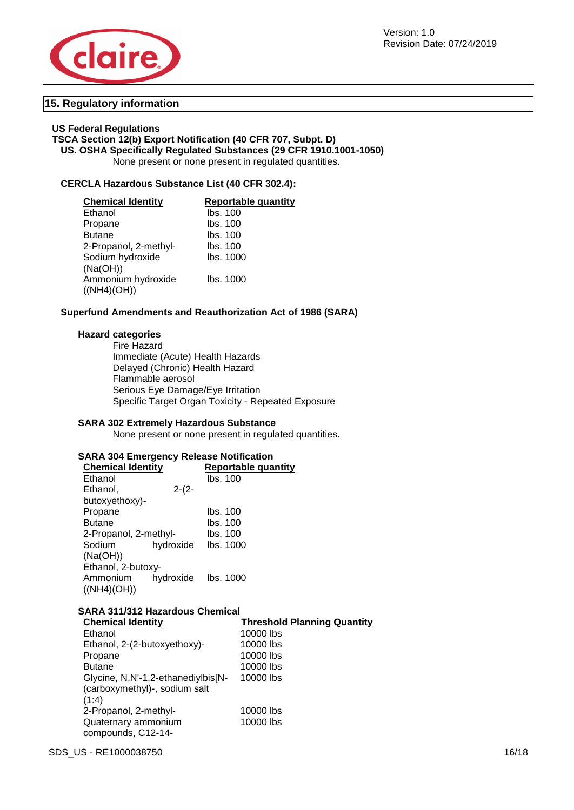



#### **15. Regulatory information**

#### **US Federal Regulations**

#### **TSCA Section 12(b) Export Notification (40 CFR 707, Subpt. D) US. OSHA Specifically Regulated Substances (29 CFR 1910.1001-1050)**

None present or none present in regulated quantities.

#### **CERCLA Hazardous Substance List (40 CFR 302.4):**

| <b>Chemical Identity</b> | <b>Reportable quantity</b> |
|--------------------------|----------------------------|
| Ethanol                  | lbs. 100                   |
| Propane                  | Ibs. 100                   |
| <b>Butane</b>            | Ibs. 100                   |
| 2-Propanol, 2-methyl-    | lbs. 100                   |
| Sodium hydroxide         | lbs. 1000                  |
| (Na(OH))                 |                            |
| Ammonium hydroxide       | lbs. 1000                  |
| ((NH4)(OH))              |                            |

#### **Superfund Amendments and Reauthorization Act of 1986 (SARA)**

#### **Hazard categories**

Fire Hazard Immediate (Acute) Health Hazards Delayed (Chronic) Health Hazard Flammable aerosol Serious Eye Damage/Eye Irritation Specific Target Organ Toxicity - Repeated Exposure

#### **SARA 302 Extremely Hazardous Substance**

None present or none present in regulated quantities.

#### **SARA 304 Emergency Release Notification**

| <b>Chemical Identity</b> |           | <b>Reportable quantity</b> |  |  |
|--------------------------|-----------|----------------------------|--|--|
| Ethanol                  |           | lbs. 100                   |  |  |
| Ethanol,                 | $2-(2-$   |                            |  |  |
| butoxyethoxy)-           |           |                            |  |  |
| Propane                  |           | lbs. 100                   |  |  |
| <b>Butane</b>            |           | lbs. 100                   |  |  |
| 2-Propanol, 2-methyl-    |           | lbs. 100                   |  |  |
| Sodium                   | hydroxide | lbs. 1000                  |  |  |
| (Na(OH))                 |           |                            |  |  |
| Ethanol, 2-butoxy-       |           |                            |  |  |
| Ammonium                 | hydroxide | lbs. 1000                  |  |  |
| ((NH4)(OH))              |           |                            |  |  |

#### **SARA 311/312 Hazardous Chemical**

| <b>Chemical Identity</b>           | <b>Threshold Planning Quantity</b> |
|------------------------------------|------------------------------------|
| Ethanol                            | 10000 lbs                          |
| Ethanol, 2-(2-butoxyethoxy)-       | 10000 lbs                          |
| Propane                            | 10000 lbs                          |
| <b>Butane</b>                      | 10000 lbs                          |
| Glycine, N,N'-1,2-ethanediylbis[N- | 10000 lbs                          |
| (carboxymethyl)-, sodium salt      |                                    |
| (1:4)                              |                                    |
| 2-Propanol, 2-methyl-              | 10000 lbs                          |
| Quaternary ammonium                | 10000 lbs                          |
| compounds, C12-14-                 |                                    |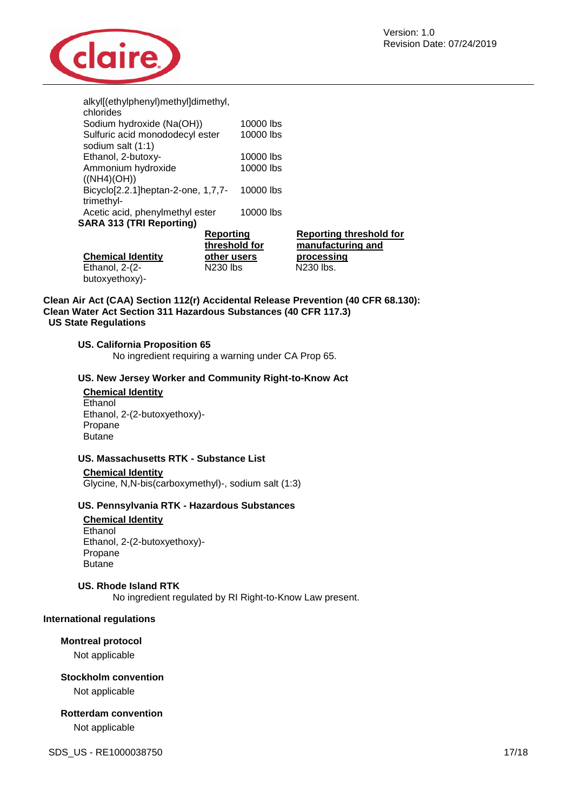

| alkyl[(ethylphenyl)methyl]dimethyl,<br>chlorides |                                   |           |                                                     |
|--------------------------------------------------|-----------------------------------|-----------|-----------------------------------------------------|
| Sodium hydroxide (Na(OH))                        |                                   | 10000 lbs |                                                     |
| Sulfuric acid monododecyl ester                  |                                   | 10000 lbs |                                                     |
| sodium salt (1:1)                                |                                   |           |                                                     |
| Ethanol, 2-butoxy-                               |                                   | 10000 lbs |                                                     |
| Ammonium hydroxide                               |                                   | 10000 lbs |                                                     |
| ((NH4)(OH))                                      |                                   |           |                                                     |
| Bicyclo[2.2.1] heptan-2-one, 1,7,7-              |                                   | 10000 lbs |                                                     |
| trimethyl-                                       |                                   |           |                                                     |
| Acetic acid, phenylmethyl ester                  |                                   | 10000 lbs |                                                     |
| <b>SARA 313 (TRI Reporting)</b>                  |                                   |           |                                                     |
|                                                  | <u>Reporting</u><br>threshold for |           | <b>Reporting threshold for</b><br>manufacturing and |
| <b>Chemical Identity</b>                         | other users                       |           | processing                                          |
| Ethanol, 2-(2-                                   | N230 lbs                          |           | N230 lbs.                                           |
| butoxyethoxy)-                                   |                                   |           |                                                     |

#### **Clean Air Act (CAA) Section 112(r) Accidental Release Prevention (40 CFR 68.130): Clean Water Act Section 311 Hazardous Substances (40 CFR 117.3) US State Regulations**

#### **US. California Proposition 65**

No ingredient requiring a warning under CA Prop 65.

#### **US. New Jersey Worker and Community Right-to-Know Act**

#### **Chemical Identity** Ethanol Ethanol, 2-(2-butoxyethoxy)- Propane Butane

#### **US. Massachusetts RTK - Substance List**

#### **Chemical Identity**

Glycine, N,N-bis(carboxymethyl)-, sodium salt (1:3)

#### **US. Pennsylvania RTK - Hazardous Substances**

**Chemical Identity** Ethanol Ethanol, 2-(2-butoxyethoxy)- Propane Butane

#### **US. Rhode Island RTK**

No ingredient regulated by RI Right-to-Know Law present.

#### **International regulations**

#### **Montreal protocol**

Not applicable

#### **Stockholm convention**

Not applicable

## **Rotterdam convention**

Not applicable

SDS\_US - RE1000038750 17/18